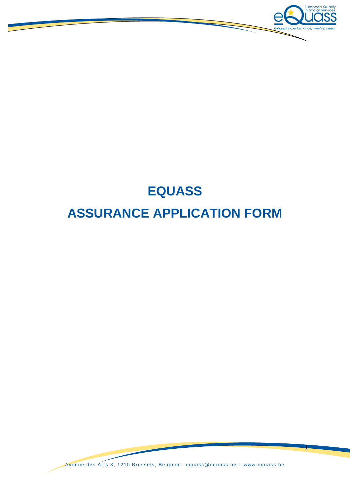

# **EQUASS ASSURANCE APPLICATION FORM**

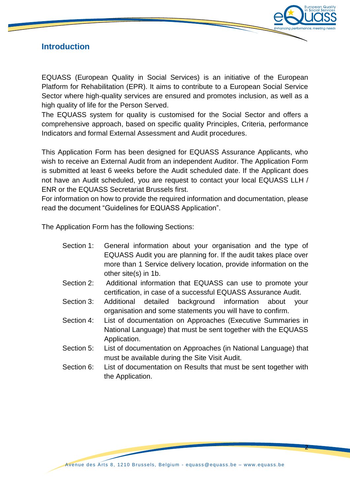

## **Introduction**

EQUASS (European Quality in Social Services) is an initiative of the European Platform for Rehabilitation (EPR). It aims to contribute to a European Social Service Sector where high-quality services are ensured and promotes inclusion, as well as a high quality of life for the Person Served.

The EQUASS system for quality is customised for the Social Sector and offers a comprehensive approach, based on specific quality Principles, Criteria, performance Indicators and formal External Assessment and Audit procedures.

This Application Form has been designed for EQUASS Assurance Applicants, who wish to receive an External Audit from an independent Auditor. The Application Form is submitted at least 6 weeks before the Audit scheduled date. If the Applicant does not have an Audit scheduled, you are request to contact your local EQUASS LLH / ENR or the EQUASS Secretariat Brussels first.

For information on how to provide the required information and documentation, please read the document "Guidelines for EQUASS Application".

The Application Form has the following Sections:

| Section 1: | General information about your organisation and the type of       |
|------------|-------------------------------------------------------------------|
|            | EQUASS Audit you are planning for. If the audit takes place over  |
|            | more than 1 Service delivery location, provide information on the |
|            | other site(s) in 1b.                                              |

- Section 2: Additional information that EQUASS can use to promote your certification, in case of a successful EQUASS Assurance Audit.
- Section 3: Additional detailed background information about your organisation and some statements you will have to confirm.
- Section 4: List of documentation on Approaches (Executive Summaries in National Language) that must be sent together with the EQUASS Application.
- Section 5: List of documentation on Approaches (in National Language) that must be available during the Site Visit Audit.
- Section 6: List of documentation on Results that must be sent together with the Application.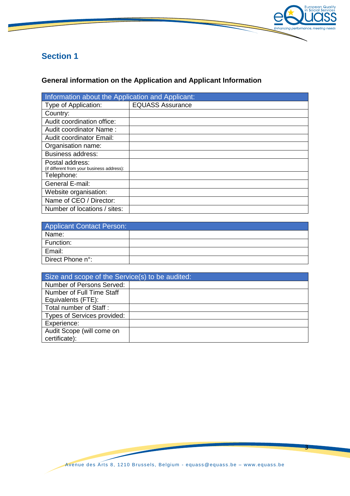

## **Section 1**

## **General information on the Application and Applicant Information**

| Information about the Application and Applicant:              |                         |  |  |
|---------------------------------------------------------------|-------------------------|--|--|
| Type of Application:                                          | <b>EQUASS Assurance</b> |  |  |
| Country:                                                      |                         |  |  |
| Audit coordination office:                                    |                         |  |  |
| Audit coordinator Name:                                       |                         |  |  |
| <b>Audit coordinator Email:</b>                               |                         |  |  |
| Organisation name:                                            |                         |  |  |
| <b>Business address:</b>                                      |                         |  |  |
| Postal address:<br>(if different from your business address): |                         |  |  |
| Telephone:                                                    |                         |  |  |
| General E-mail:                                               |                         |  |  |
| Website organisation:                                         |                         |  |  |
| Name of CEO / Director:                                       |                         |  |  |
| Number of locations / sites:                                  |                         |  |  |

| <b>Applicant Contact Person:</b> |  |  |
|----------------------------------|--|--|
| Name:                            |  |  |
| Function:                        |  |  |
| Email:                           |  |  |
| Direct Phone n°:                 |  |  |

| Size and scope of the Service(s) to be audited: |  |  |
|-------------------------------------------------|--|--|
| Number of Persons Served:                       |  |  |
| Number of Full Time Staff                       |  |  |
| Equivalents (FTE):                              |  |  |
| Total number of Staff:                          |  |  |
| Types of Services provided:                     |  |  |
| Experience:                                     |  |  |
| Audit Scope (will come on                       |  |  |
| certificate):                                   |  |  |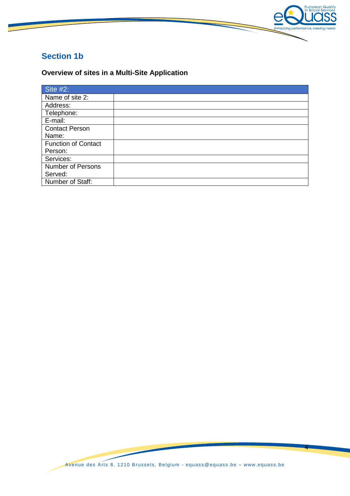

## **Section 1b**

## **Overview of sites in a Multi-Site Application**

| Site $#2:$                 |  |
|----------------------------|--|
| Name of site 2:            |  |
| Address:                   |  |
| Telephone:                 |  |
| E-mail:                    |  |
| <b>Contact Person</b>      |  |
| Name:                      |  |
| <b>Function of Contact</b> |  |
| Person:                    |  |
| Services:                  |  |
| <b>Number of Persons</b>   |  |
| Served:                    |  |
| Number of Staff:           |  |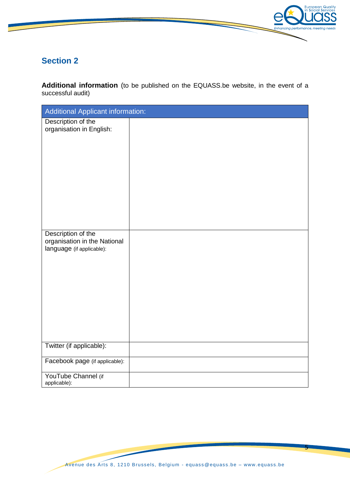

## **Section 2**

**Additional information** (to be published on the EQUASS.be website, in the event of a successful audit)

| <b>Additional Applicant information:</b>                                        |  |  |
|---------------------------------------------------------------------------------|--|--|
| Description of the<br>organisation in English:                                  |  |  |
|                                                                                 |  |  |
| Description of the<br>organisation in the National<br>language (if applicable): |  |  |
| Twitter (if applicable):                                                        |  |  |
| Facebook page (if applicable):                                                  |  |  |
| YouTube Channel (if<br>applicable):                                             |  |  |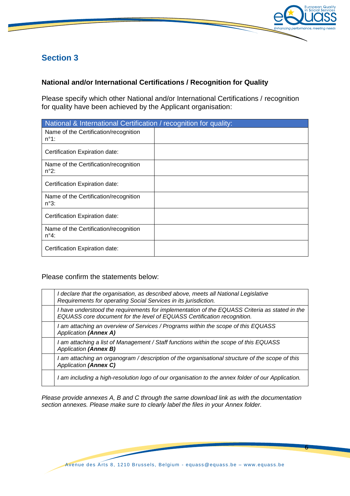

## **Section 3**

#### **National and/or International Certifications / Recognition for Quality**

Please specify which other National and/or International Certifications / recognition for quality have been achieved by the Applicant organisation:

| National & International Certification / recognition for quality: |  |
|-------------------------------------------------------------------|--|
| Name of the Certification/recognition<br>$n^{\circ}1$ :           |  |
| Certification Expiration date:                                    |  |
| Name of the Certification/recognition<br>$n^{\circ}2$ :           |  |
| Certification Expiration date:                                    |  |
| Name of the Certification/recognition<br>$n^{\circ}3$ :           |  |
| Certification Expiration date:                                    |  |
| Name of the Certification/recognition<br>$n^{\circ}4$ :           |  |
| Certification Expiration date:                                    |  |

#### Please confirm the statements below:

| I declare that the organisation, as described above, meets all National Legislative<br>Requirements for operating Social Services in its jurisdiction.                   |
|--------------------------------------------------------------------------------------------------------------------------------------------------------------------------|
| I have understood the requirements for implementation of the EQUASS Criteria as stated in the<br>EQUASS core document for the level of EQUASS Certification recognition. |
| I am attaching an overview of Services / Programs within the scope of this EQUASS<br><b>Application (Annex A)</b>                                                        |
| I am attaching a list of Management / Staff functions within the scope of this EQUASS<br>Application (Annex B)                                                           |
| I am attaching an organogram / description of the organisational structure of the scope of this<br>Application (Annex C)                                                 |
| I am including a high-resolution logo of our organisation to the annex folder of our Application.                                                                        |

*Please provide annexes A, B and C through the same download link as with the documentation section annexes. Please make sure to clearly label the files in your Annex folder.*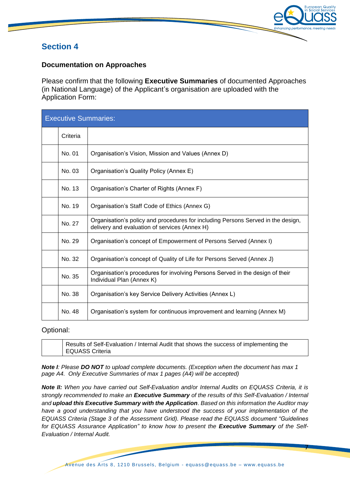

## **Section 4**

#### **Documentation on Approaches**

Please confirm that the following **Executive Summaries** of documented Approaches (in National Language) of the Applicant's organisation are uploaded with the Application Form:

| <b>Executive Summaries:</b> |          |                                                                                                                                   |
|-----------------------------|----------|-----------------------------------------------------------------------------------------------------------------------------------|
|                             | Criteria |                                                                                                                                   |
|                             | No. 01   | Organisation's Vision, Mission and Values (Annex D)                                                                               |
|                             | No. 03   | Organisation's Quality Policy (Annex E)                                                                                           |
|                             | No. 13   | Organisation's Charter of Rights (Annex F)                                                                                        |
|                             | No. 19   | Organisation's Staff Code of Ethics (Annex G)                                                                                     |
|                             | No. 27   | Organisation's policy and procedures for including Persons Served in the design,<br>delivery and evaluation of services (Annex H) |
|                             | No. 29   | Organisation's concept of Empowerment of Persons Served (Annex I)                                                                 |
|                             | No. 32   | Organisation's concept of Quality of Life for Persons Served (Annex J)                                                            |
|                             | No. 35   | Organisation's procedures for involving Persons Served in the design of their<br>Individual Plan (Annex K)                        |
|                             | No. 38   | Organisation's key Service Delivery Activities (Annex L)                                                                          |
|                             | No. 48   | Organisation's system for continuous improvement and learning (Annex M)                                                           |

#### Optional:

Results of Self-Evaluation / Internal Audit that shows the success of implementing the EQUASS Criteria

*Note I: Please DO NOT to upload complete documents. (Exception when the document has max 1 page A4. Only Executive Summaries of max 1 pages (A4) will be accepted)*

*Note II: When you have carried out Self-Evaluation and/or Internal Audits on EQUASS Criteria, it is strongly recommended to make an Executive Summary of the results of this Self-Evaluation / Internal and upload this Executive Summary with the Application. Based on this information the Auditor may have a good understanding that you have understood the success of your implementation of the EQUASS Criteria (Stage 3 of the Assessment Grid). Please read the EQUASS document "Guidelines for EQUASS Assurance Application" to know how to present the Executive Summary of the Self-Evaluation / Internal Audit.*

Avenue des Arts 8, 1210 Brussels, Belgium - [equass @equass.be](mailto:equass@equass.be) – [www. equass.be](http://www.equass.be/)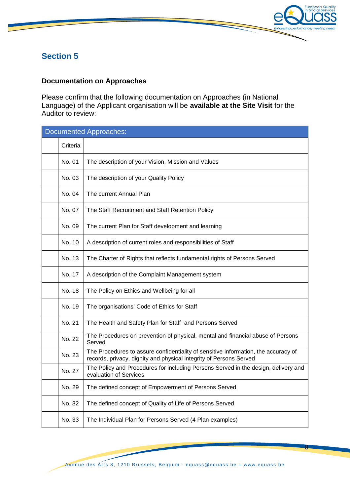

## **Section 5**

#### **Documentation on Approaches**

Please confirm that the following documentation on Approaches (in National Language) of the Applicant organisation will be **available at the Site Visit** for the Auditor to review:

| <b>Documented Approaches:</b> |                                                                                                                                                          |  |
|-------------------------------|----------------------------------------------------------------------------------------------------------------------------------------------------------|--|
| Criteria                      |                                                                                                                                                          |  |
| No. 01                        | The description of your Vision, Mission and Values                                                                                                       |  |
| No. 03                        | The description of your Quality Policy                                                                                                                   |  |
| No. 04                        | The current Annual Plan                                                                                                                                  |  |
| No. 07                        | The Staff Recruitment and Staff Retention Policy                                                                                                         |  |
| No. 09                        | The current Plan for Staff development and learning                                                                                                      |  |
| No. 10                        | A description of current roles and responsibilities of Staff                                                                                             |  |
| No. 13                        | The Charter of Rights that reflects fundamental rights of Persons Served                                                                                 |  |
| No. 17                        | A description of the Complaint Management system                                                                                                         |  |
| No. 18                        | The Policy on Ethics and Wellbeing for all                                                                                                               |  |
| No. 19                        | The organisations' Code of Ethics for Staff                                                                                                              |  |
| No. 21                        | The Health and Safety Plan for Staff and Persons Served                                                                                                  |  |
| No. 22                        | The Procedures on prevention of physical, mental and financial abuse of Persons<br>Served                                                                |  |
| No. 23                        | The Procedures to assure confidentiality of sensitive information, the accuracy of<br>records, privacy, dignity and physical integrity of Persons Served |  |
| No. 27                        | The Policy and Procedures for including Persons Served in the design, delivery and<br>evaluation of Services                                             |  |
| No. 29                        | The defined concept of Empowerment of Persons Served                                                                                                     |  |
| No. 32                        | The defined concept of Quality of Life of Persons Served                                                                                                 |  |
| No. 33                        | The Individual Plan for Persons Served (4 Plan examples)                                                                                                 |  |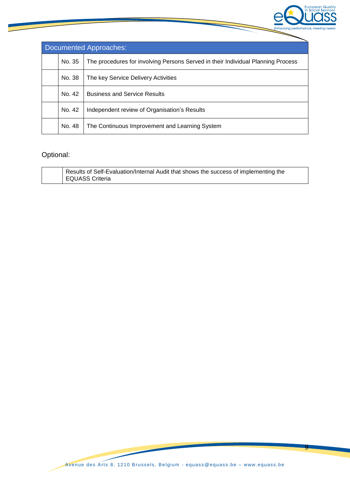

| Documented Approaches: |        |                                                                                  |
|------------------------|--------|----------------------------------------------------------------------------------|
|                        | No. 35 | The procedures for involving Persons Served in their Individual Planning Process |
|                        | No. 38 | The key Service Delivery Activities                                              |
|                        | No. 42 | <b>Business and Service Results</b>                                              |
|                        | No. 42 | Independent review of Organisation's Results                                     |
|                        | No. 48 | The Continuous Improvement and Learning System                                   |

## Optional:

|  | Results of Self-Evaluation/Internal Audit that shows the success of implementing the |
|--|--------------------------------------------------------------------------------------|
|  | EQUASS Criteria                                                                      |